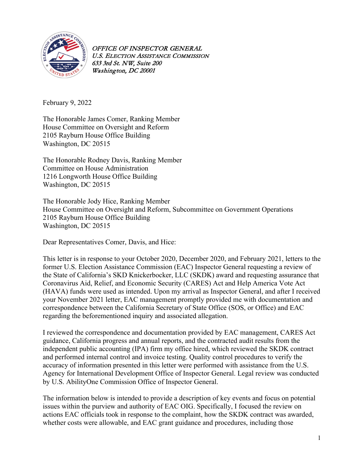

February 9, 2022

The Honorable James Comer, Ranking Member House Committee on Oversight and Reform 2105 Rayburn House Office Building Washington, DC 20515

The Honorable Rodney Davis, Ranking Member Committee on House Administration 1216 Longworth House Office Building Washington, DC 20515

The Honorable Jody Hice, Ranking Member House Committee on Oversight and Reform, Subcommittee on Government Operations 2105 Rayburn House Office Building Washington, DC 20515

Dear Representatives Comer, Davis, and Hice:

This letter is in response to your October 2020, December 2020, and February 2021, letters to the former U.S. Election Assistance Commission (EAC) Inspector General requesting a review of the State of California's SKD Knickerbocker, LLC (SKDK) award and requesting assurance that Coronavirus Aid, Relief, and Economic Security (CARES) Act and Help America Vote Act (HAVA) funds were used as intended. Upon my arrival as Inspector General, and after I received your November 2021 letter, EAC management promptly provided me with documentation and correspondence between the California Secretary of State Office (SOS, or Office) and EAC regarding the beforementioned inquiry and associated allegation.

I reviewed the correspondence and documentation provided by EAC management, CARES Act guidance, California progress and annual reports, and the contracted audit results from the independent public accounting (IPA) firm my office hired, which reviewed the SKDK contract and performed internal control and invoice testing. Quality control procedures to verify the accuracy of information presented in this letter were performed with assistance from the U.S. Agency for International Development Office of Inspector General. Legal review was conducted by U.S. AbilityOne Commission Office of Inspector General.

The information below is intended to provide a description of key events and focus on potential issues within the purview and authority of EAC OIG. Specifically, I focused the review on actions EAC officials took in response to the complaint, how the SKDK contract was awarded, whether costs were allowable, and EAC grant guidance and procedures, including those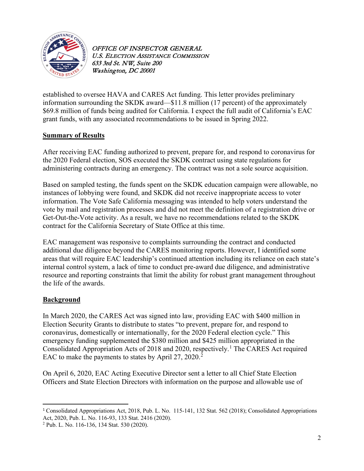

established to oversee HAVA and CARES Act funding. This letter provides preliminary information surrounding the SKDK award—\$11.8 million (17 percent) of the approximately \$69.8 million of funds being audited for California. I expect the full audit of California's EAC grant funds, with any associated recommendations to be issued in Spring 2022.

### **Summary of Results**

After receiving EAC funding authorized to prevent, prepare for, and respond to coronavirus for the 2020 Federal election, SOS executed the SKDK contract using state regulations for administering contracts during an emergency. The contract was not a sole source acquisition.

Based on sampled testing, the funds spent on the SKDK education campaign were allowable, no instances of lobbying were found, and SKDK did not receive inappropriate access to voter information. The Vote Safe California messaging was intended to help voters understand the vote by mail and registration processes and did not meet the definition of a registration drive or Get-Out-the-Vote activity. As a result, we have no recommendations related to the SKDK contract for the California Secretary of State Office at this time.

EAC management was responsive to complaints surrounding the contract and conducted additional due diligence beyond the CARES monitoring reports. However, I identified some areas that will require EAC leadership's continued attention including its reliance on each state's internal control system, a lack of time to conduct pre-award due diligence, and administrative resource and reporting constraints that limit the ability for robust grant management throughout the life of the awards.

#### **Background**

In March 2020, the CARES Act was signed into law, providing EAC with \$400 million in Election Security Grants to distribute to states "to prevent, prepare for, and respond to coronavirus, domestically or internationally, for the 2020 Federal election cycle." This emergency funding supplemented the \$380 million and \$425 million appropriated in the Consolidated Appropriation Acts of 20[1](#page-1-0)8 and 2020, respectively.<sup>1</sup> The CARES Act required EAC to make the payments to states by April [2](#page-1-1)7, 2020.<sup>2</sup>

On April 6, 2020, EAC Acting Executive Director sent a letter to all Chief State Election Officers and State Election Directors with information on the purpose and allowable use of

<span id="page-1-0"></span><sup>1</sup> Consolidated Appropriations Act, 2018, Pub. L. No. 115-141, 132 Stat. 562 (2018); Consolidated Appropriations Act, 2020, Pub. L. No. 116-93, 133 Stat. 2416 (2020). 2 Pub. L. No. 116-136, 134 Stat. 530 (2020).

<span id="page-1-1"></span>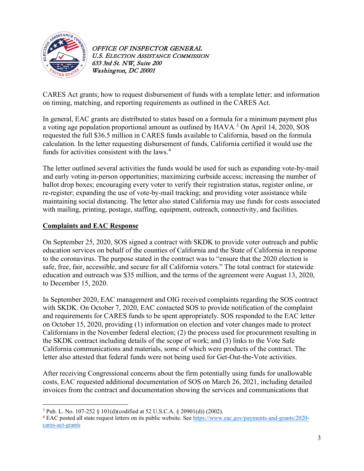

CARES Act grants; how to request disbursement of funds with a template letter; and information on timing, matching, and reporting requirements as outlined in the CARES Act.

In general, EAC grants are distributed to states based on a formula for a minimum payment plus a voting age population proportional amount as outlined by HAVA.<sup>[3](#page-2-0)</sup> On April 14, 2020, SOS requested the full \$36.5 million in CARES funds available to California, based on the formula calculation. In the letter requesting disbursement of funds, California certified it would use the funds for activities consistent with the laws. [4](#page-2-1)

The letter outlined several activities the funds would be used for such as expanding vote-by-mail and early voting in-person opportunities; maximizing curbside access; increasing the number of ballot drop boxes; encouraging every voter to verify their registration status, register online, or re-register; expanding the use of vote-by-mail tracking; and providing voter assistance while maintaining social distancing. The letter also stated California may use funds for costs associated with mailing, printing, postage, staffing, equipment, outreach, connectivity, and facilities.

#### **Complaints and EAC Response**

On September 25, 2020, SOS signed a contract with SKDK to provide voter outreach and public education services on behalf of the counties of California and the State of California in response to the coronavirus. The purpose stated in the contract was to "ensure that the 2020 election is safe, free, fair, accessible, and secure for all California voters." The total contract for statewide education and outreach was \$35 million, and the terms of the agreement were August 13, 2020, to December 15, 2020.

In September 2020, EAC management and OIG received complaints regarding the SOS contract with SKDK. On October 7, 2020, EAC contacted SOS to provide notification of the complaint and requirements for CARES funds to be spent appropriately. SOS responded to the EAC letter on October 15, 2020, providing (1) information on election and voter changes made to protect Californians in the November federal election; (2) the process used for procurement resulting in the SKDK contract including details of the scope of work; and (3) links to the Vote Safe California communications and materials, some of which were products of the contract. The letter also attested that federal funds were not being used for Get-Out-the-Vote activities.

After receiving Congressional concerns about the firm potentially using funds for unallowable costs, EAC requested additional documentation of SOS on March 26, 2021, including detailed invoices from the contract and documentation showing the services and communications that

<span id="page-2-1"></span><span id="page-2-0"></span><sup>&</sup>lt;sup>3</sup> Pub. L. No. 107-252 § 101(d)(codified at 52 U.S.C.A. § 20901(d)) (2002).<br><sup>4</sup> EAC posted all state request letters on its public website. See [https://www.eac.gov/payments-and-grants/2020](https://www.eac.gov/payments-and-grants/2020-cares-act-grants) [cares-act-grants](https://www.eac.gov/payments-and-grants/2020-cares-act-grants)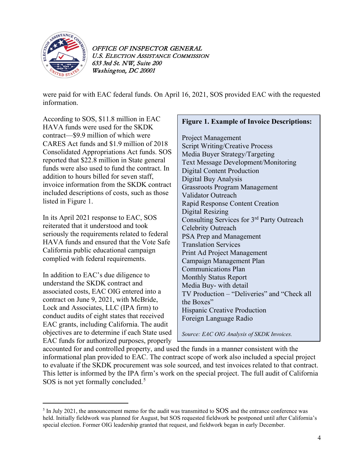

were paid for with EAC federal funds. On April 16, 2021, SOS provided EAC with the requested information.

According to SOS, \$11.8 million in EAC HAVA funds were used for the SKDK contract—\$9.9 million of which were CARES Act funds and \$1.9 million of 2018 Consolidated Appropriations Act funds. SOS reported that \$22.8 million in State general funds were also used to fund the contract. In addition to hours billed for seven staff, invoice information from the SKDK contract included descriptions of costs, such as those listed in Figure 1.

In its April 2021 response to EAC, SOS reiterated that it understood and took seriously the requirements related to federal HAVA funds and ensured that the Vote Safe California public educational campaign complied with federal requirements.

In addition to EAC's due diligence to understand the SKDK contract and associated costs, EAC OIG entered into a contract on June 9, 2021, with McBride, Lock and Associates, LLC (IPA firm) to conduct audits of eight states that received EAC grants, including California. The audit objectives are to determine if each State used EAC funds for authorized purposes, properly

### **Figure 1. Example of Invoice Descriptions:**

Project Management Script Writing/Creative Process Media Buyer Strategy/Targeting Text Message Development/Monitoring Digital Content Production Digital Buy Analysis Grassroots Program Management Validator Outreach Rapid Response Content Creation Digital Resizing Consulting Services for 3rd Party Outreach Celebrity Outreach PSA Prep and Management Translation Services Print Ad Project Management Campaign Management Plan Communications Plan Monthly Status Report Media Buy- with detail TV Production – "Deliveries" and "Check all the Boxes" Hispanic Creative Production Foreign Language Radio

*Source: EAC OIG Analysis of SKDK Invoices.*

accounted for and controlled property, and used the funds in a manner consistent with the informational plan provided to EAC. The contract scope of work also included a special project to evaluate if the SKDK procurement was sole sourced, and test invoices related to that contract. This letter is informed by the IPA firm's work on the special project. The full audit of California SOS is not yet formally concluded.<sup>[5](#page-3-0)</sup>

<span id="page-3-0"></span><sup>&</sup>lt;sup>5</sup> In July 2021, the announcement memo for the audit was transmitted to SOS and the entrance conference was held. Initially fieldwork was planned for August, but SOS requested fieldwork be postponed until after California's special election. Former OIG leadership granted that request, and fieldwork began in early December.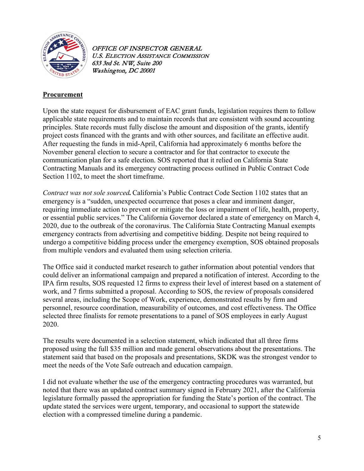

## **Procurement**

Upon the state request for disbursement of EAC grant funds, legislation requires them to follow applicable state requirements and to maintain records that are consistent with sound accounting principles. State records must fully disclose the amount and disposition of the grants, identify project costs financed with the grants and with other sources, and facilitate an effective audit. After requesting the funds in mid-April, California had approximately 6 months before the November general election to secure a contractor and for that contractor to execute the communication plan for a safe election. SOS reported that it relied on California State Contracting Manuals and its emergency contracting process outlined in Public Contract Code Section 1102, to meet the short timeframe.

*Contract was not sole sourced.*California's Public Contract Code Section 1102 states that an emergency is a "sudden, unexpected occurrence that poses a clear and imminent danger, requiring immediate action to prevent or mitigate the loss or impairment of life, health, property, or essential public services." The California Governor declared a state of emergency on March 4, 2020, due to the outbreak of the coronavirus. The California State Contracting Manual exempts emergency contracts from advertising and competitive bidding. Despite not being required to undergo a competitive bidding process under the emergency exemption, SOS obtained proposals from multiple vendors and evaluated them using selection criteria.

The Office said it conducted market research to gather information about potential vendors that could deliver an informational campaign and prepared a notification of interest. According to the IPA firm results, SOS requested 12 firms to express their level of interest based on a statement of work, and 7 firms submitted a proposal. According to SOS, the review of proposals considered several areas, including the Scope of Work, experience, demonstrated results by firm and personnel, resource coordination, measurability of outcomes, and cost effectiveness. The Office selected three finalists for remote presentations to a panel of SOS employees in early August 2020.

The results were documented in a selection statement, which indicated that all three firms proposed using the full \$35 million and made general observations about the presentations. The statement said that based on the proposals and presentations, SKDK was the strongest vendor to meet the needs of the Vote Safe outreach and education campaign.

I did not evaluate whether the use of the emergency contracting procedures was warranted, but noted that there was an updated contract summary signed in February 2021, after the California legislature formally passed the appropriation for funding the State's portion of the contract. The update stated the services were urgent, temporary, and occasional to support the statewide election with a compressed timeline during a pandemic.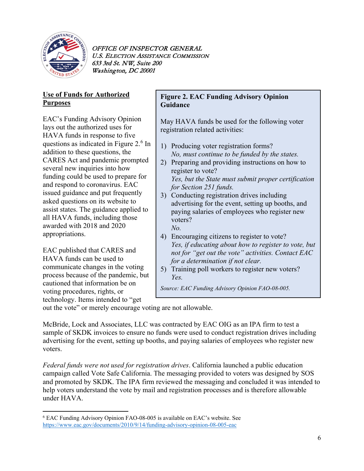

## **Use of Funds for Authorized Purposes**

EAC's Funding Advisory Opinion lays out the authorized uses for HAVA funds in response to five questions as indicated in Figure 2. [6](#page-5-0) In addition to these questions, the CARES Act and pandemic prompted several new inquiries into how funding could be used to prepare for and respond to coronavirus. EAC issued guidance and put frequently asked questions on its website to assist states. The guidance applied to all HAVA funds, including those awarded with 2018 and 2020 appropriations.

EAC published that CARES and HAVA funds can be used to communicate changes in the voting process because of the pandemic, but cautioned that information be on voting procedures, rights, or technology. Items intended to "get

### **Figure 2. EAC Funding Advisory Opinion Guidance**

May HAVA funds be used for the following voter registration related activities:

- 1) Producing voter registration forms? *No, must continue to be funded by the states.*
- 2) Preparing and providing instructions on how to register to vote? *Yes, but the State must submit proper certification for Section 251 funds.*
- 3) Conducting registration drives including advertising for the event, setting up booths, and paying salaries of employees who register new voters? *No.*
- 4) Encouraging citizens to register to vote? *Yes, if educating about how to register to vote, but not for "get out the vote" activities. Contact EAC for a determination if not clear.*
- 5) Training poll workers to register new voters? *Yes.*

*Source: EAC Funding Advisory Opinion FAO-08-005.*

out the vote" or merely encourage voting are not allowable.

McBride, Lock and Associates, LLC was contracted by EAC OIG as an IPA firm to test a sample of SKDK invoices to ensure no funds were used to conduct registration drives including advertising for the event, setting up booths, and paying salaries of employees who register new voters.

*Federal funds were not used for registration drives*. California launched a public education campaign called Vote Safe California. The messaging provided to voters was designed by SOS and promoted by SKDK. The IPA firm reviewed the messaging and concluded it was intended to help voters understand the vote by mail and registration processes and is therefore allowable under HAVA.

<span id="page-5-0"></span><sup>6</sup> EAC Funding Advisory Opinion FAO-08-005 is available on EAC's website. See <https://www.eac.gov/documents/2010/9/14/funding-advisory-opinion-08-005-eac>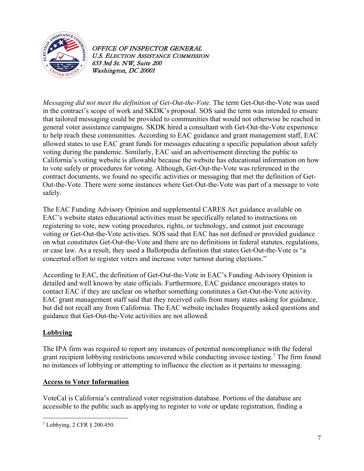

*Messaging did not meet the definition of Get-Out-the-Vote*. The term Get-Out-the-Vote was used in the contract's scope of work and SKDK's proposal. SOS said the term was intended to ensure that tailored messaging could be provided to communities that would not otherwise be reached in general voter assistance campaigns. SKDK hired a consultant with Get-Out-the-Vote experience to help reach these communities. According to EAC guidance and grant management staff, EAC allowed states to use EAC grant funds for messages educating a specific population about safely voting during the pandemic. Similarly, EAC said an advertisement directing the public to California's voting website is allowable because the website has educational information on how to vote safely or procedures for voting. Although, Get-Out-the-Vote was referenced in the contract documents, we found no specific activities or messaging that met the definition of Get-Out-the-Vote. There were some instances where Get-Out-the-Vote was part of a message to vote safely.

The EAC Funding Advisory Opinion and supplemental CARES Act guidance available on EAC's website states educational activities must be specifically related to instructions on registering to vote, new voting procedures, rights, or technology, and cannot just encourage voting or Get-Out-the-Vote activities. SOS said that EAC has not defined or provided guidance on what constitutes Get-Out-the-Vote and there are no definitions in federal statutes, regulations, or case law. As a result, they used a Ballotpedia definition that states Get-Out-the-Vote is "a concerted effort to register voters and increase voter turnout during elections."

According to EAC, the definition of Get-Out-the-Vote in EAC's Funding Advisory Opinion is detailed and well known by state officials. Furthermore, EAC guidance encourages states to contact EAC if they are unclear on whether something constitutes a Get-Out-the-Vote activity. EAC grant management staff said that they received calls from many states asking for guidance, but did not recall any from California. The EAC website includes frequently asked questions and guidance that Get-Out-the-Vote activities are not allowed.

### **Lobbying**

The IPA firm was required to report any instances of potential noncompliance with the federal grant recipient lobbying restrictions uncovered while conducting invoice testing.<sup>[7](#page-6-0)</sup> The firm found no instances of lobbying or attempting to influence the election as it pertains to messaging.

#### **Access to Voter Information**

VoteCal is California's centralized voter registration database. Portions of the database are accessible to the public such as applying to register to vote or update registration, finding a

<span id="page-6-0"></span><sup>7</sup> Lobbying, 2 CFR § 200.450.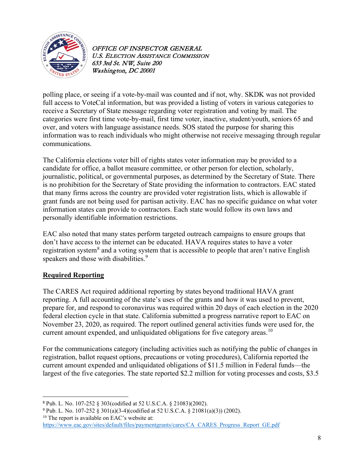

polling place, or seeing if a vote-by-mail was counted and if not, why. SKDK was not provided full access to VoteCal information, but was provided a listing of voters in various categories to receive a Secretary of State message regarding voter registration and voting by mail. The categories were first time vote-by-mail, first time voter, inactive, student/youth, seniors 65 and over, and voters with language assistance needs. SOS stated the purpose for sharing this information was to reach individuals who might otherwise not receive messaging through regular communications.

The California elections voter bill of rights states voter information may be provided to a candidate for office, a ballot measure committee, or other person for election, scholarly, journalistic, political, or governmental purposes, as determined by the Secretary of State. There is no prohibition for the Secretary of State providing the information to contractors. EAC stated that many firms across the country are provided voter registration lists, which is allowable if grant funds are not being used for partisan activity. EAC has no specific guidance on what voter information states can provide to contractors. Each state would follow its own laws and personally identifiable information restrictions.

EAC also noted that many states perform targeted outreach campaigns to ensure groups that don't have access to the internet can be educated. HAVA requires states to have a voter registration system<sup>[8](#page-7-0)</sup> and a voting system that is accessible to people that aren't native English speakers and those with disabilities.<sup>[9](#page-7-1)</sup>

### **Required Reporting**

The CARES Act required additional reporting by states beyond traditional HAVA grant reporting. A full accounting of the state's uses of the grants and how it was used to prevent, prepare for, and respond to coronavirus was required within 20 days of each election in the 2020 federal election cycle in that state. California submitted a progress narrative report to EAC on November 23, 2020, as required. The report outlined general activities funds were used for, the current amount expended, and unliquidated obligations for five category areas.<sup>[10](#page-7-2)</sup>

For the communications category (including activities such as notifying the public of changes in registration, ballot request options, precautions or voting procedures), California reported the current amount expended and unliquidated obligations of \$11.5 million in Federal funds—the largest of the five categories. The state reported \$2.2 million for voting processes and costs, \$3.5

<span id="page-7-0"></span><sup>8</sup> Pub. L. No. 107-252 § 303(codified at 52 U.S.C.A. § 21083)(2002).

<span id="page-7-2"></span><span id="page-7-1"></span><sup>9</sup> Pub. L. No. 107-252 § 301(a)(3-4)(codified at 52 U.S.C.A. § 21081(a)(3)) (2002). <sup>10</sup> The report is available on EAC's website at:

[https://www.eac.gov/sites/default/files/paymentgrants/cares/CA\\_CARES\\_Progress\\_Report\\_GE.pdf](https://www.eac.gov/sites/default/files/paymentgrants/cares/CA_CARES_Progress_Report_GE.pdf)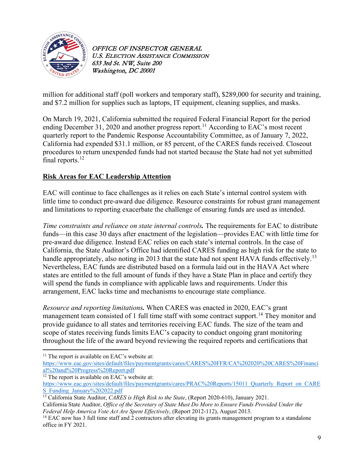

million for additional staff (poll workers and temporary staff), \$289,000 for security and training, and \$7.2 million for supplies such as laptops, IT equipment, cleaning supplies, and masks.

On March 19, 2021, California submitted the required Federal Financial Report for the period ending December 31, 2020 and another progress report.<sup>[11](#page-8-0)</sup> According to EAC's most recent quarterly report to the Pandemic Response Accountability Committee, as of January 7, 2022, California had expended \$31.1 million, or 85 percent, of the CARES funds received. Closeout procedures to return unexpended funds had not started because the State had not yet submitted final reports.<sup>12</sup>

# **Risk Areas for EAC Leadership Attention**

EAC will continue to face challenges as it relies on each State's internal control system with little time to conduct pre-award due diligence. Resource constraints for robust grant management and limitations to reporting exacerbate the challenge of ensuring funds are used as intended.

*Time constraints and reliance on state internal controls.* The requirements for EAC to distribute funds—in this case 30 days after enactment of the legislation—provides EAC with little time for pre-award due diligence. Instead EAC relies on each state's internal controls. In the case of California, the State Auditor's Office had identified CARES funding as high risk for the state to handle appropriately, also noting in 20[13](#page-8-2) that the state had not spent HAVA funds effectively.<sup>13</sup> Nevertheless, EAC funds are distributed based on a formula laid out in the HAVA Act where states are entitled to the full amount of funds if they have a State Plan in place and certify they will spend the funds in compliance with applicable laws and requirements. Under this arrangement, EAC lacks time and mechanisms to encourage state compliance.

*Resource and reporting limitations.* When CARES was enacted in 2020, EAC's grant management team consisted of 1 full time staff with some contract support.<sup>[14](#page-8-3)</sup> They monitor and provide guidance to all states and territories receiving EAC funds. The size of the team and scope of states receiving funds limits EAC's capacity to conduct ongoing grant monitoring throughout the life of the award beyond reviewing the required reports and certifications that

<span id="page-8-0"></span> $11$  The report is available on EAC's website at:

[https://www.eac.gov/sites/default/files/paymentgrants/cares/CARES%20FFR/CA%202020%20CARES%20Financi](https://www.eac.gov/sites/default/files/paymentgrants/cares/CARES%20FFR/CA%202020%20CARES%20Financial%20and%20Progress%20Report.pdf) [al%20and%20Progress%20Report.pdf](https://www.eac.gov/sites/default/files/paymentgrants/cares/CARES%20FFR/CA%202020%20CARES%20Financial%20and%20Progress%20Report.pdf)

<span id="page-8-1"></span> $12$  The report is available on EAC's website at:

[https://www.eac.gov/sites/default/files/paymentgrants/cares/PRAC%20Reports/15011\\_Quarterly\\_Report\\_on\\_CARE](https://www.eac.gov/sites/default/files/paymentgrants/cares/PRAC%20Reports/15011_Quarterly_Report_on_CARES_Funding_January%202022.pdf) [S\\_Funding\\_January%202022.pdf](https://www.eac.gov/sites/default/files/paymentgrants/cares/PRAC%20Reports/15011_Quarterly_Report_on_CARES_Funding_January%202022.pdf)

<span id="page-8-2"></span><sup>&</sup>lt;sup>13</sup> California State Auditor, *CARES is High Risk to the State*, (Report 2020-610), January 2021.

California State Auditor, *Office of the Secretary of State Must Do More to Ensure Funds Provided Under the Federal Help America Vote Act Are Spent Effectively*, (Report 2012-112), August 2013.<br><sup>14</sup> EAC now has 3 full time staff and 2 contractors after elevating its grants management program to a standalone

<span id="page-8-3"></span>office in FY 2021.